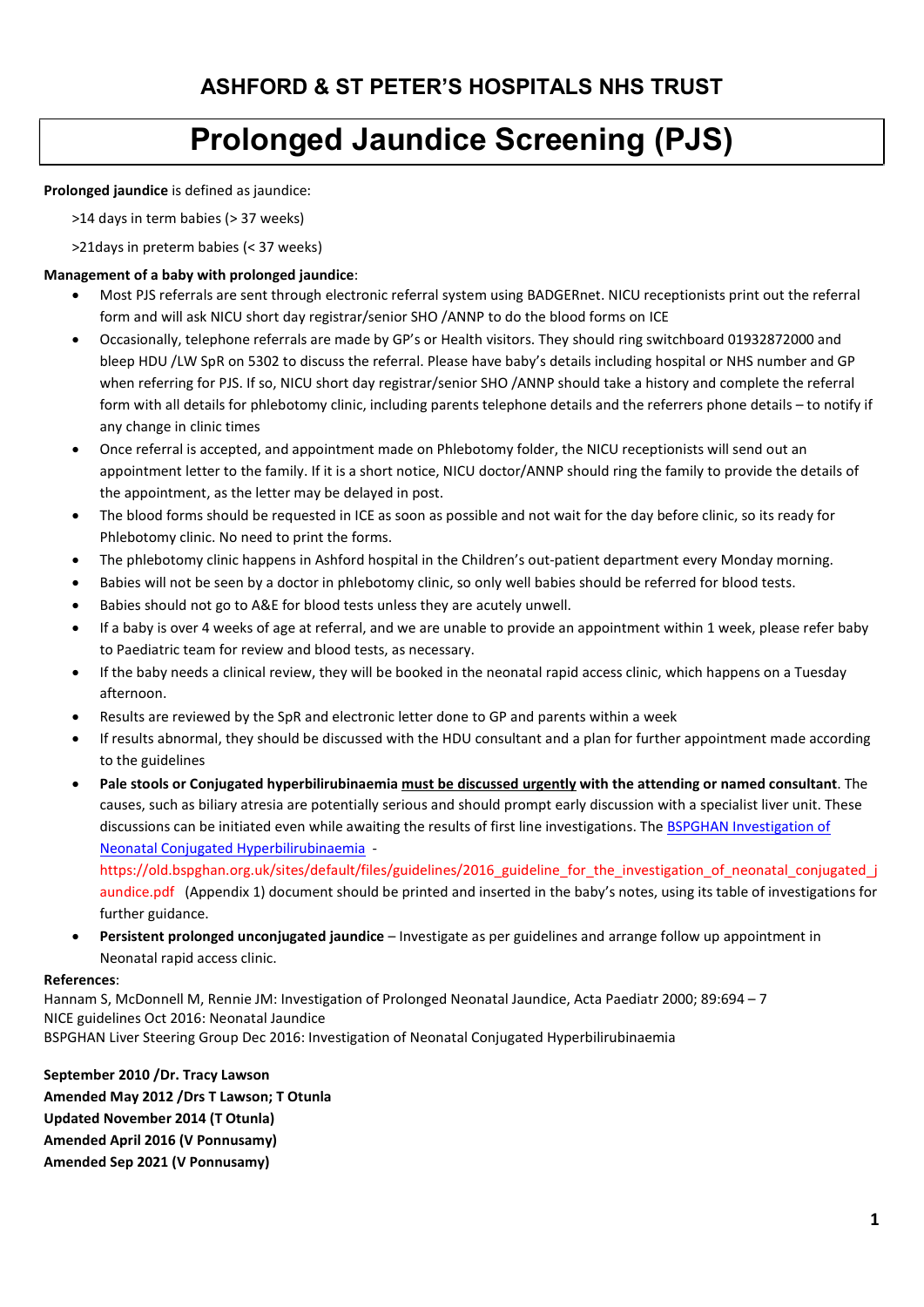# Prolonged Jaundice Screening (PJS)

### Prolonged jaundice is defined as jaundice:

>14 days in term babies (> 37 weeks)

>21days in preterm babies (< 37 weeks)

### Management of a baby with prolonged jaundice:

- Most PJS referrals are sent through electronic referral system using BADGERnet. NICU receptionists print out the referral form and will ask NICU short day registrar/senior SHO /ANNP to do the blood forms on ICE
- Occasionally, telephone referrals are made by GP's or Health visitors. They should ring switchboard 01932872000 and bleep HDU /LW SpR on 5302 to discuss the referral. Please have baby's details including hospital or NHS number and GP when referring for PJS. If so, NICU short day registrar/senior SHO /ANNP should take a history and complete the referral form with all details for phlebotomy clinic, including parents telephone details and the referrers phone details – to notify if any change in clinic times
- Once referral is accepted, and appointment made on Phlebotomy folder, the NICU receptionists will send out an appointment letter to the family. If it is a short notice, NICU doctor/ANNP should ring the family to provide the details of the appointment, as the letter may be delayed in post.
- The blood forms should be requested in ICE as soon as possible and not wait for the day before clinic, so its ready for Phlebotomy clinic. No need to print the forms.
- The phlebotomy clinic happens in Ashford hospital in the Children's out-patient department every Monday morning.
- Babies will not be seen by a doctor in phlebotomy clinic, so only well babies should be referred for blood tests.
- Babies should not go to A&E for blood tests unless they are acutely unwell.
- If a baby is over 4 weeks of age at referral, and we are unable to provide an appointment within 1 week, please refer baby to Paediatric team for review and blood tests, as necessary.
- If the baby needs a clinical review, they will be booked in the neonatal rapid access clinic, which happens on a Tuesday afternoon.
- Results are reviewed by the SpR and electronic letter done to GP and parents within a week
- If results abnormal, they should be discussed with the HDU consultant and a plan for further appointment made according to the guidelines
- Pale stools or Conjugated hyperbilirubinaemia must be discussed urgently with the attending or named consultant. The causes, such as biliary atresia are potentially serious and should prompt early discussion with a specialist liver unit. These discussions can be initiated even while awaiting the results of first line investigations. The **BSPGHAN** Investigation of Neonatal Conjugated Hyperbilirubinaemia -

https://old.bspghan.org.uk/sites/default/files/guidelines/2016\_guideline\_for\_the\_investigation\_of\_neonatal\_conjugated\_j aundice.pdf (Appendix 1) document should be printed and inserted in the baby's notes, using its table of investigations for further guidance.

 Persistent prolonged unconjugated jaundice – Investigate as per guidelines and arrange follow up appointment in Neonatal rapid access clinic.

#### References:

Hannam S, McDonnell M, Rennie JM: Investigation of Prolonged Neonatal Jaundice, Acta Paediatr 2000; 89:694 – 7 NICE guidelines Oct 2016: Neonatal Jaundice BSPGHAN Liver Steering Group Dec 2016: Investigation of Neonatal Conjugated Hyperbilirubinaemia

September 2010 /Dr. Tracy Lawson Amended May 2012 /Drs T Lawson; T Otunla Updated November 2014 (T Otunla) Amended April 2016 (V Ponnusamy) Amended Sep 2021 (V Ponnusamy)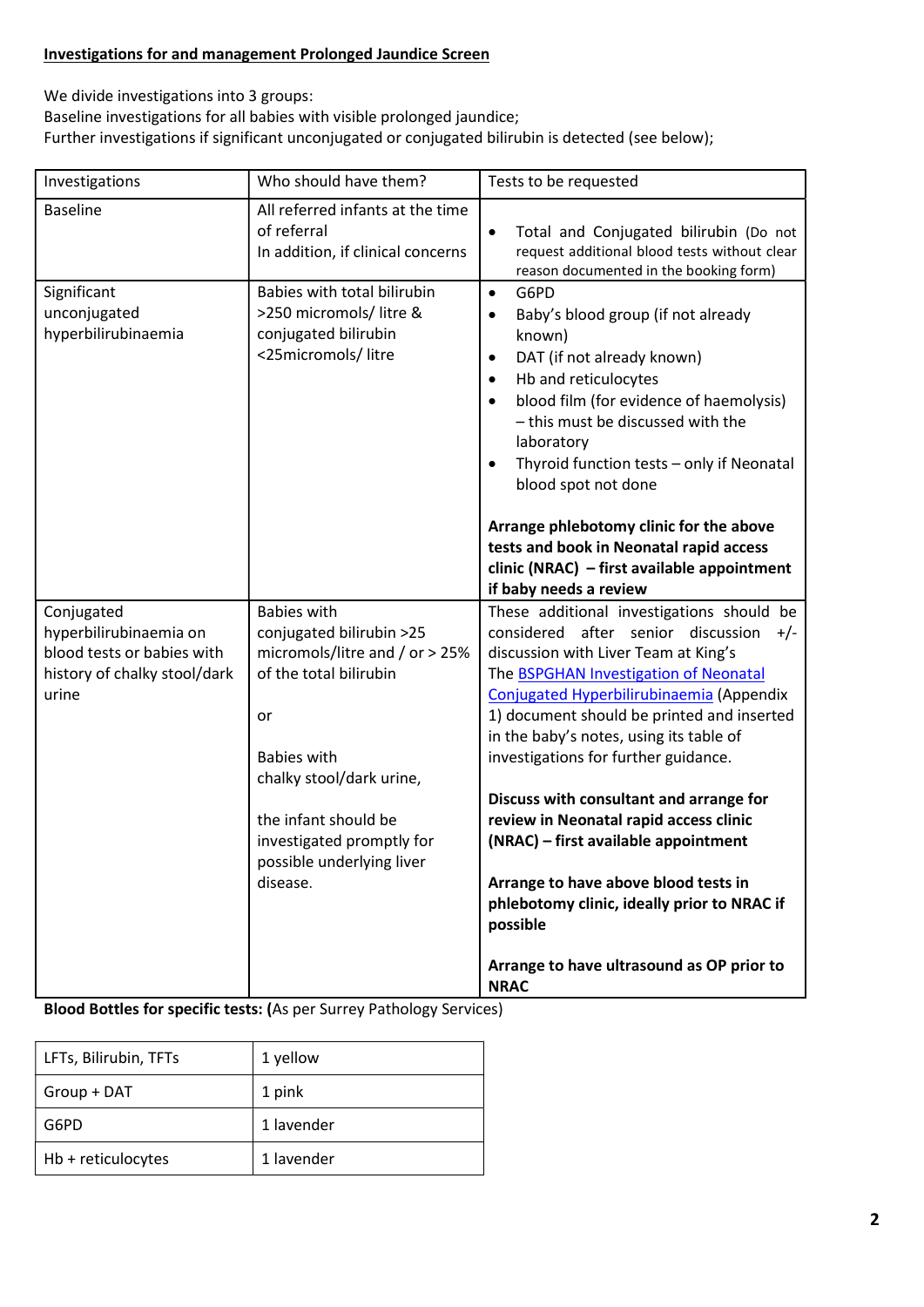### Investigations for and management Prolonged Jaundice Screen

We divide investigations into 3 groups:

Baseline investigations for all babies with visible prolonged jaundice;

Further investigations if significant unconjugated or conjugated bilirubin is detected (see below);

| Investigations                                     | Who should have them?                                                                               | Tests to be requested                                                                                                                                                                                                                                                                                                                                                       |
|----------------------------------------------------|-----------------------------------------------------------------------------------------------------|-----------------------------------------------------------------------------------------------------------------------------------------------------------------------------------------------------------------------------------------------------------------------------------------------------------------------------------------------------------------------------|
| <b>Baseline</b>                                    | All referred infants at the time<br>of referral<br>In addition, if clinical concerns                | Total and Conjugated bilirubin (Do not<br>$\bullet$<br>request additional blood tests without clear<br>reason documented in the booking form)                                                                                                                                                                                                                               |
| Significant<br>unconjugated<br>hyperbilirubinaemia | Babies with total bilirubin<br>>250 micromols/litre &<br>conjugated bilirubin<br><25micromols/litre | G6PD<br>$\bullet$<br>Baby's blood group (if not already<br>$\bullet$<br>known)<br>DAT (if not already known)<br>$\bullet$<br>Hb and reticulocytes<br>$\bullet$<br>blood film (for evidence of haemolysis)<br>- this must be discussed with the<br>laboratory<br>Thyroid function tests - only if Neonatal<br>blood spot not done<br>Arrange phlebotomy clinic for the above |
|                                                    |                                                                                                     | tests and book in Neonatal rapid access<br>clinic (NRAC) - first available appointment                                                                                                                                                                                                                                                                                      |
| Conjugated                                         | <b>Babies with</b>                                                                                  | if baby needs a review<br>These additional investigations should be                                                                                                                                                                                                                                                                                                         |
| hyperbilirubinaemia on                             | conjugated bilirubin >25                                                                            | considered after senior discussion<br>$+/-$                                                                                                                                                                                                                                                                                                                                 |
| blood tests or babies with                         | micromols/litre and / or > 25%                                                                      | discussion with Liver Team at King's                                                                                                                                                                                                                                                                                                                                        |
| history of chalky stool/dark                       | of the total bilirubin                                                                              | The <b>BSPGHAN Investigation of Neonatal</b>                                                                                                                                                                                                                                                                                                                                |
| urine                                              |                                                                                                     | Conjugated Hyperbilirubinaemia (Appendix                                                                                                                                                                                                                                                                                                                                    |
|                                                    | or                                                                                                  | 1) document should be printed and inserted                                                                                                                                                                                                                                                                                                                                  |
|                                                    |                                                                                                     | in the baby's notes, using its table of                                                                                                                                                                                                                                                                                                                                     |
|                                                    | <b>Babies with</b>                                                                                  | investigations for further guidance.                                                                                                                                                                                                                                                                                                                                        |
|                                                    | chalky stool/dark urine,                                                                            |                                                                                                                                                                                                                                                                                                                                                                             |
|                                                    |                                                                                                     | Discuss with consultant and arrange for                                                                                                                                                                                                                                                                                                                                     |
|                                                    | the infant should be                                                                                | review in Neonatal rapid access clinic                                                                                                                                                                                                                                                                                                                                      |
|                                                    | investigated promptly for                                                                           | (NRAC) - first available appointment                                                                                                                                                                                                                                                                                                                                        |
|                                                    | possible underlying liver                                                                           |                                                                                                                                                                                                                                                                                                                                                                             |
|                                                    | disease.                                                                                            | Arrange to have above blood tests in                                                                                                                                                                                                                                                                                                                                        |
|                                                    |                                                                                                     | phlebotomy clinic, ideally prior to NRAC if<br>possible                                                                                                                                                                                                                                                                                                                     |
|                                                    |                                                                                                     | Arrange to have ultrasound as OP prior to<br><b>NRAC</b>                                                                                                                                                                                                                                                                                                                    |

### Blood Bottles for specific tests: (As per Surrey Pathology Services)

| LFTs, Bilirubin, TFTs | 1 yellow   |
|-----------------------|------------|
| Group + DAT           | 1 pink     |
| G6PD                  | 1 lavender |
| Hb + reticulocytes    | 1 lavender |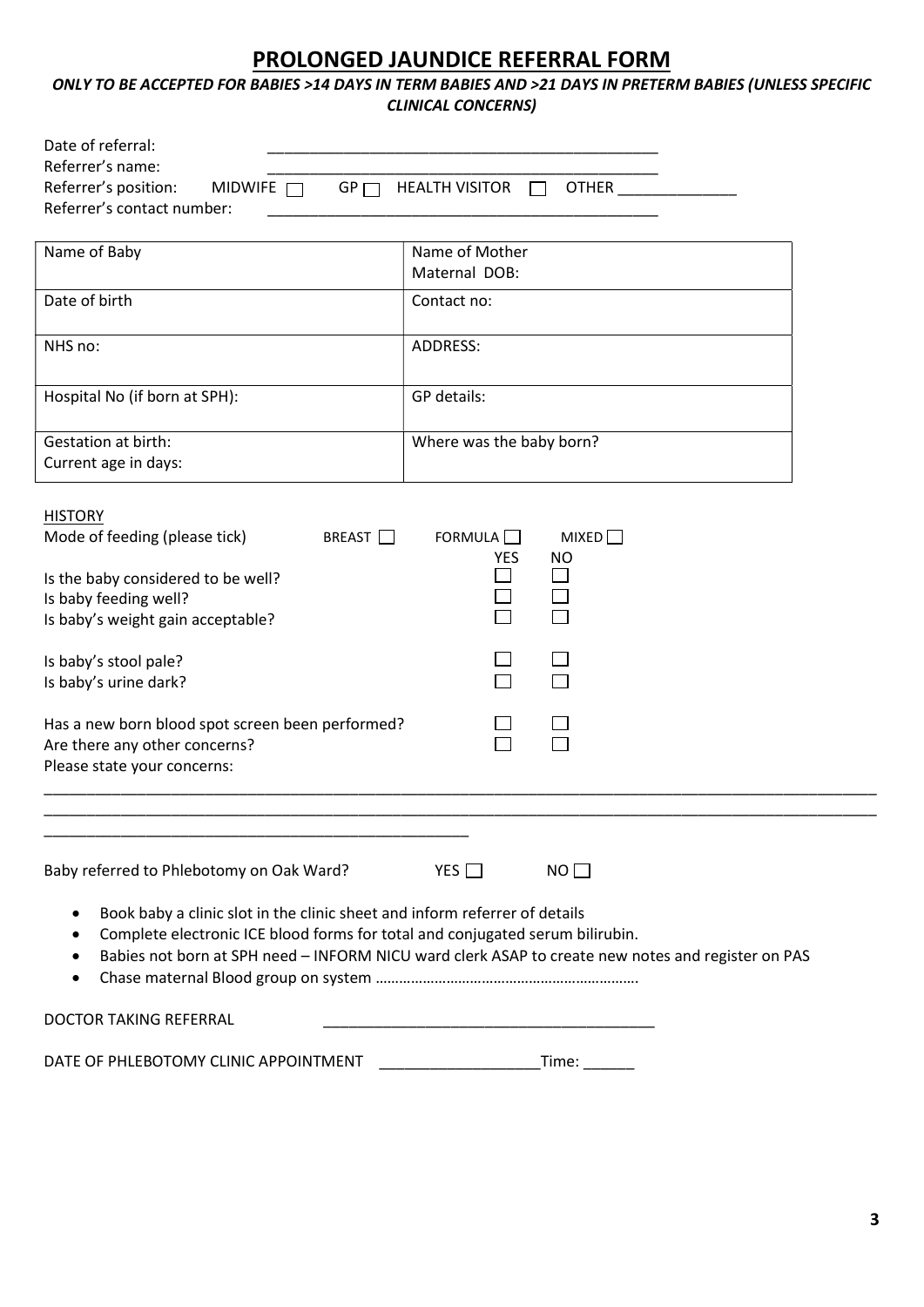# PROLONGED JAUNDICE REFERRAL FORM

ONLY TO BE ACCEPTED FOR BABIES >14 DAYS IN TERM BABIES AND >21 DAYS IN PRETERM BABIES (UNLESS SPECIFIC CLINICAL CONCERNS)

| Date of referral:<br>Referrer's name:<br>Referrer's position:<br>$GP \Box$<br>MIDWIFE $\Box$<br>Referrer's contact number:                                                                                                                                                                                                                                                   | <b>HEALTH VISITOR</b>                     | <b>OTHER</b> |
|------------------------------------------------------------------------------------------------------------------------------------------------------------------------------------------------------------------------------------------------------------------------------------------------------------------------------------------------------------------------------|-------------------------------------------|--------------|
| Name of Baby                                                                                                                                                                                                                                                                                                                                                                 | Name of Mother<br>Maternal DOB:           |              |
| Date of birth                                                                                                                                                                                                                                                                                                                                                                | Contact no:                               |              |
| NHS no:                                                                                                                                                                                                                                                                                                                                                                      | <b>ADDRESS:</b>                           |              |
| Hospital No (if born at SPH):                                                                                                                                                                                                                                                                                                                                                | GP details:                               |              |
| <b>Gestation at birth:</b><br>Current age in days:                                                                                                                                                                                                                                                                                                                           | Where was the baby born?                  |              |
| <b>HISTORY</b><br>Mode of feeding (please tick)<br><b>BREAST</b><br>Is the baby considered to be well?<br>Is baby feeding well?<br>Is baby's weight gain acceptable?<br>Is baby's stool pale?<br>Is baby's urine dark?<br>Has a new born blood spot screen been performed?<br>Are there any other concerns?<br>Please state your concerns:                                   | FORMULA $\square$<br><b>YES</b><br>$\sim$ | MIXED<br>NO  |
| Baby referred to Phlebotomy on Oak Ward?<br>Book baby a clinic slot in the clinic sheet and inform referrer of details<br>٠<br>Complete electronic ICE blood forms for total and conjugated serum bilirubin.<br>$\bullet$<br>Babies not born at SPH need - INFORM NICU ward clerk ASAP to create new notes and register on PAS<br>$\bullet$<br><b>DOCTOR TAKING REFERRAL</b> | YES $\Box$                                | NO           |
| DATE OF PHLEBOTOMY CLINIC APPOINTMENT                                                                                                                                                                                                                                                                                                                                        |                                           | Time:        |